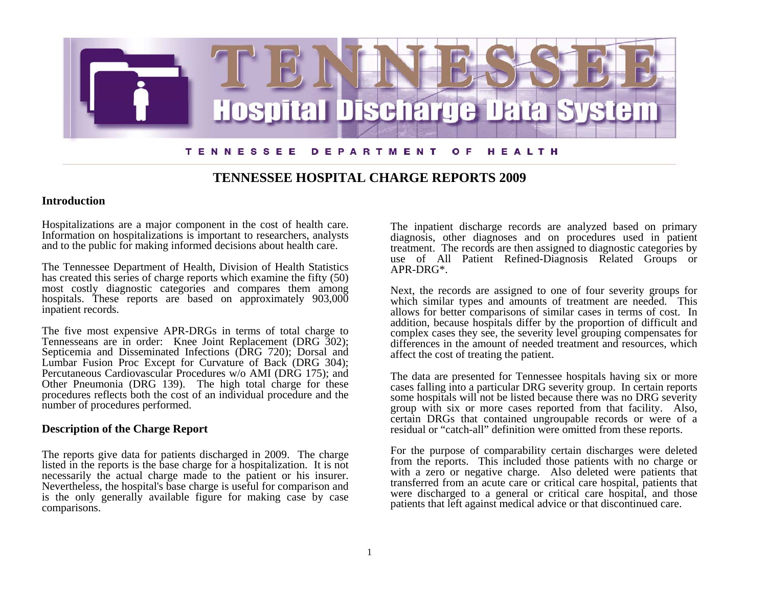

# **TENNESSEE HOSPITAL CHARGE REPORTS 2009**

### **Introduction**

Hospitalizations are a major component in the cost of health care. Information on hospitalizations is important to researchers, analysts and to the public for making informed decisions about health care.

The Tennessee Department of Health, Division of Health Statistics has created this series of charge reports which examine the fifty (50) most costly diagnostic categories and compares them among hospitals. These reports are based on approximately  $903,000$ inpatient records.

The five most expensive APR-DRGs in terms of total charge to Tennesseans are in order: Knee Joint Replacement (DRG 302); Septicemia and Disseminated Infections (DRG 720); Dorsal and Lumbar Fusion Proc Except for Curvature of Back (DRG 304); Percutaneous Cardiovascular Procedures w/o AMI (DRG 175); and Other Pneumonia (DRG 139). The high total charge for these procedures reflects both the cost of an individual procedure and the number of procedures performed.

### **Description of the Charge Report**

The reports give data for patients discharged in 2009. The charge listed in the reports is the base charge for a hospitalization. It is not necessarily the actual charge made to the patient or his insurer. Nevertheless, the hospital's base charge is useful for comparison and is the only generally available figure for making case by case comparisons.

The inpatient discharge records are analyzed based on primary diagnosis, other diagnoses and on procedures used in patient treatment. The records are then assigned to diagnostic categories by use of All Patient Refined-Diagnosis Related Groups or APR-DRG\*.

Next, the records are assigned to one of four severity groups for which similar types and amounts of treatment are needed. This allows for better comparisons of similar cases in terms of cost. In addition, because hospitals differ by the proportion of difficult and complex cases they see, the severity level grouping compensates for differences in the amount of needed treatment and resources, which affect the cost of treating the patient.

The data are presented for Tennessee hospitals having six or more cases falling into a particular DRG severity group. In certain reports some hospitals will not be listed because there was no DRG severity group with six or more cases reported from that facility. Also, certain DRGs that contained ungroupable records or were of a residual or "catch-all" definition were omitted from these reports.

For the purpose of comparability certain discharges were deleted from the reports. This included those patients with no charge or with a zero or negative charge. Also deleted were patients that transferred from an acute care or critical care hospital, patients that were discharged to a general or critical care hospital, and those patients that left against medical advice or that discontinued care.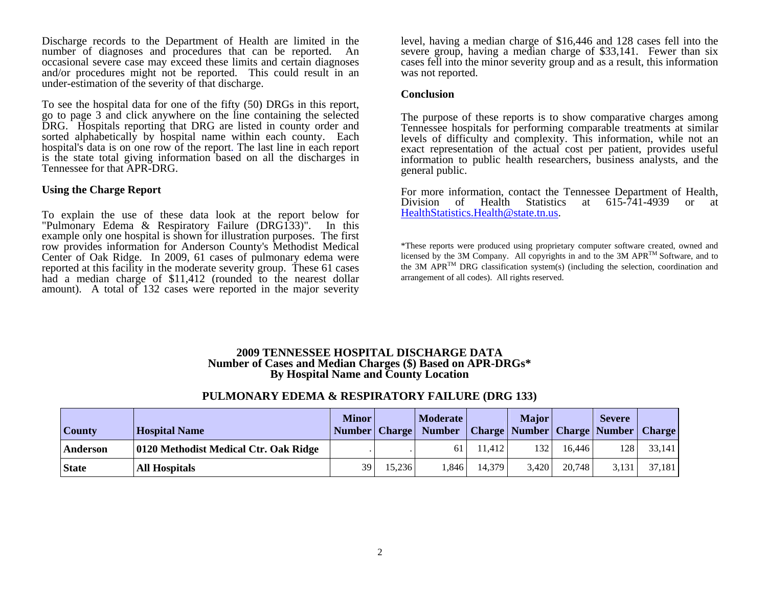Discharge records to the Department of Health are limited in the number of diagnoses and procedures that can be reported. An occasional severe case may exceed these limits and certain diagnoses and/or procedures might not be reported. This could result in an under-estimation of the severity of that discharge.

To see the hospital data for one of the fifty (50) DRGs in this report, go to page 3 and click anywhere on the line containing the selected DRG. Hospitals reporting that DRG are listed in county order and sorted alphabetically by hospital name within each county. Each hospital's data is on one row of the report. The last line in each report is the state total giving information based on all the discharges in Tennessee for that APR-DRG.

#### **Using the Charge Report**

To explain the use of these data look at the report below for "Pulmonary Edema & Respiratory Failure (DRG133)". In this example only one hospital is shown for illustration purposes. The first row provides information for Anderson County's Methodist Medical Center of Oak Ridge. In 2009, 61 cases of pulmonary edema were reported at this facility in the moderate severity group. These 61 cases had a median charge of \$11,412 (rounded to the nearest dollar amount). A total of 132 cases were reported in the major severity

level, having a median charge of \$16,446 and 128 cases fell into the severe group, having a median charge of \$33,141. Fewer than six cases fell into the minor severity group and as a result, this information was not reported.

#### **Conclusion**

The purpose of these reports is to show comparative charges among Tennessee hospitals for performing comparable treatments at similar levels of difficulty and complexity. This information, while not an exact representation of the actual cost per patient, provides useful information to public health researchers, business analysts, and the general public.

For more information, contact the Tennessee Department of Health, Division of Health Statistics at 615-741-4939 or at HealthStatistics.Health@state.tn.us[.](mailto:HealthStatistics.Health@state.tn.us) 

\*These reports were produced using proprietary computer software created, owned and licensed by the 3M Company. All copyrights in and to the 3M APRTM Software, and to the 3M APR<sup>TM</sup> DRG classification system(s) (including the selection, coordination and arrangement of all codes). All rights reserved.

### **2009 TENNESSEE HOSPITAL DISCHARGE DATA Number of Cases and Median Charges (\$) Based on APR-DRGs\* By Hospital Name and County Location**

## **PULMONARY EDEMA & RESPIRATORY FAILURE (DRG 133)**

| County       | <b>Hospital Name</b>                  | <b>Minor</b><br>Number   Charge |        | <b>Moderate</b><br><b>Number</b> |        | <b>Major</b> |        | <b>Severe</b><br><b>Charge   Number   Charge   Number   Charge  </b> |        |
|--------------|---------------------------------------|---------------------------------|--------|----------------------------------|--------|--------------|--------|----------------------------------------------------------------------|--------|
| Anderson     | 0120 Methodist Medical Ctr. Oak Ridge |                                 |        | 61                               | 11.412 | 132          | 16.446 | 128                                                                  | 33,141 |
| <b>State</b> | <b>All Hospitals</b>                  | 39                              | 15.236 | .846                             | 14.379 | 3.420        | 20,748 | 3,131                                                                | 37,181 |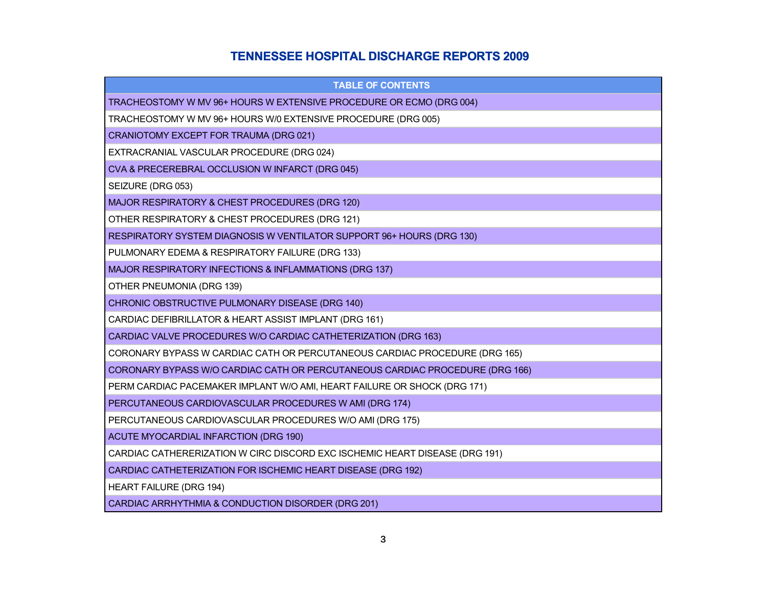# **TENNESSEE HOSPITAL DISCHARGE REPORTS 2009**

| <b>TABLE OF CONTENTS</b>                                                     |
|------------------------------------------------------------------------------|
| TRACHEOSTOMY W MV 96+ HOURS W EXTENSIVE PROCEDURE OR ECMO (DRG 004)          |
| TRACHEOSTOMY W MV 96+ HOURS W/0 EXTENSIVE PROCEDURE (DRG 005)                |
| CRANIOTOMY EXCEPT FOR TRAUMA (DRG 021)                                       |
| EXTRACRANIAL VASCULAR PROCEDURE (DRG 024)                                    |
| CVA & PRECEREBRAL OCCLUSION W INFARCT (DRG 045)                              |
| SEIZURE (DRG 053)                                                            |
| MAJOR RESPIRATORY & CHEST PROCEDURES (DRG 120)                               |
| OTHER RESPIRATORY & CHEST PROCEDURES (DRG 121)                               |
| RESPIRATORY SYSTEM DIAGNOSIS W VENTILATOR SUPPORT 96+ HOURS (DRG 130)        |
| PULMONARY EDEMA & RESPIRATORY FAILURE (DRG 133)                              |
| MAJOR RESPIRATORY INFECTIONS & INFLAMMATIONS (DRG 137)                       |
| OTHER PNEUMONIA (DRG 139)                                                    |
| CHRONIC OBSTRUCTIVE PULMONARY DISEASE (DRG 140)                              |
| CARDIAC DEFIBRILLATOR & HEART ASSIST IMPLANT (DRG 161)                       |
| CARDIAC VALVE PROCEDURES W/O CARDIAC CATHETERIZATION (DRG 163)               |
| CORONARY BYPASS W CARDIAC CATH OR PERCUTANEOUS CARDIAC PROCEDURE (DRG 165)   |
| CORONARY BYPASS W/O CARDIAC CATH OR PERCUTANEOUS CARDIAC PROCEDURE (DRG 166) |
| PERM CARDIAC PACEMAKER IMPLANT W/O AMI, HEART FAILURE OR SHOCK (DRG 171)     |
| PERCUTANEOUS CARDIOVASCULAR PROCEDURES W AMI (DRG 174)                       |
| PERCUTANEOUS CARDIOVASCULAR PROCEDURES W/O AMI (DRG 175)                     |
| ACUTE MYOCARDIAL INFARCTION (DRG 190)                                        |
| CARDIAC CATHERERIZATION W CIRC DISCORD EXC ISCHEMIC HEART DISEASE (DRG 191)  |
| CARDIAC CATHETERIZATION FOR ISCHEMIC HEART DISEASE (DRG 192)                 |
| <b>HEART FAILURE (DRG 194)</b>                                               |
| CARDIAC ARRHYTHMIA & CONDUCTION DISORDER (DRG 201)                           |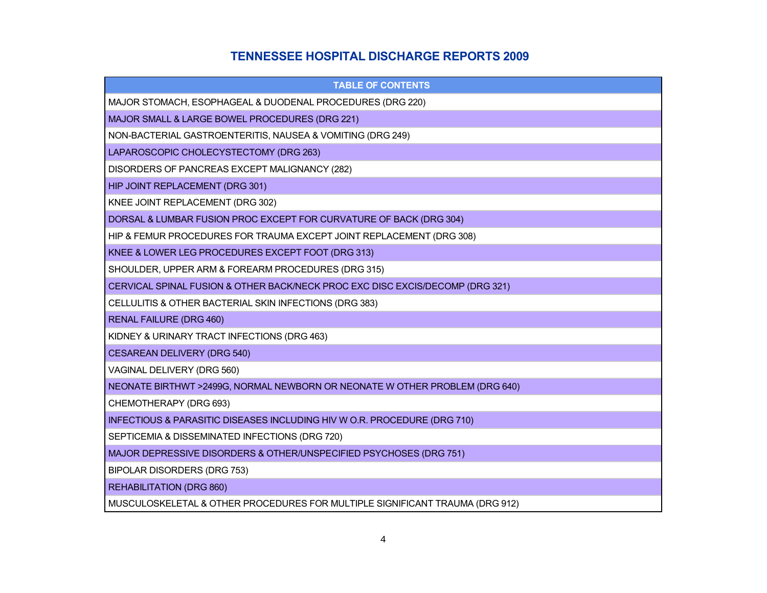# **TENNESSEE HOSPITAL DISCHARGE REPORTS 2009**

| <b>TABLE OF CONTENTS</b>                                                      |
|-------------------------------------------------------------------------------|
| MAJOR STOMACH, ESOPHAGEAL & DUODENAL PROCEDURES (DRG 220)                     |
| MAJOR SMALL & LARGE BOWEL PROCEDURES (DRG 221)                                |
| NON-BACTERIAL GASTROENTERITIS, NAUSEA & VOMITING (DRG 249)                    |
| LAPAROSCOPIC CHOLECYSTECTOMY (DRG 263)                                        |
| DISORDERS OF PANCREAS EXCEPT MALIGNANCY (282)                                 |
| HIP JOINT REPLACEMENT (DRG 301)                                               |
| KNEE JOINT REPLACEMENT (DRG 302)                                              |
| DORSAL & LUMBAR FUSION PROC EXCEPT FOR CURVATURE OF BACK (DRG 304)            |
| HIP & FEMUR PROCEDURES FOR TRAUMA EXCEPT JOINT REPLACEMENT (DRG 308)          |
| KNEE & LOWER LEG PROCEDURES EXCEPT FOOT (DRG 313)                             |
| SHOULDER, UPPER ARM & FOREARM PROCEDURES (DRG 315)                            |
| CERVICAL SPINAL FUSION & OTHER BACK/NECK PROC EXC DISC EXCIS/DECOMP (DRG 321) |
| CELLULITIS & OTHER BACTERIAL SKIN INFECTIONS (DRG 383)                        |
| <b>RENAL FAILURE (DRG 460)</b>                                                |
| KIDNEY & URINARY TRACT INFECTIONS (DRG 463)                                   |
| <b>CESAREAN DELIVERY (DRG 540)</b>                                            |
| VAGINAL DELIVERY (DRG 560)                                                    |
| NEONATE BIRTHWT >2499G, NORMAL NEWBORN OR NEONATE W OTHER PROBLEM (DRG 640)   |
| CHEMOTHERAPY (DRG 693)                                                        |
| INFECTIOUS & PARASITIC DISEASES INCLUDING HIV W O.R. PROCEDURE (DRG 710)      |
| SEPTICEMIA & DISSEMINATED INFECTIONS (DRG 720)                                |
| MAJOR DEPRESSIVE DISORDERS & OTHER/UNSPECIFIED PSYCHOSES (DRG 751)            |
| BIPOLAR DISORDERS (DRG 753)                                                   |
| <b>REHABILITATION (DRG 860)</b>                                               |
| MUSCULOSKELETAL & OTHER PROCEDURES FOR MULTIPLE SIGNIFICANT TRAUMA (DRG 912)  |